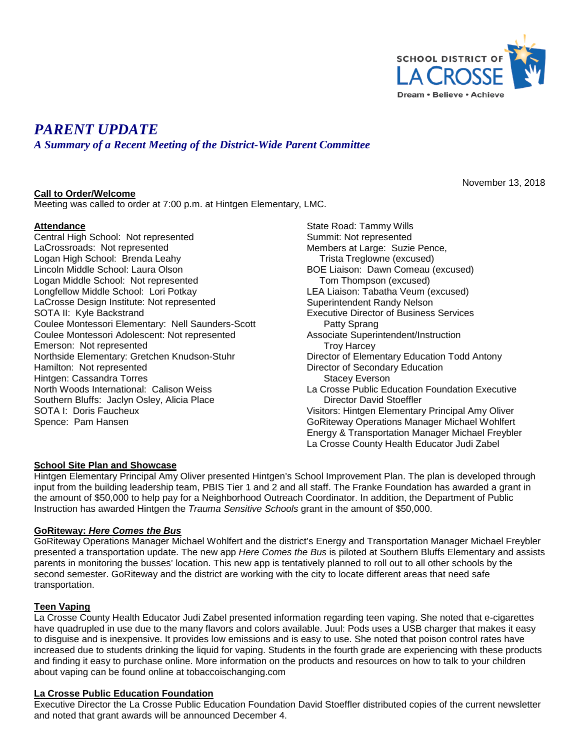

# *PARENT UPDATE*

*A Summary of a Recent Meeting of the District-Wide Parent Committee*

### **Call to Order/Welcome**

Meeting was called to order at 7:00 p.m. at Hintgen Elementary, LMC.

#### **Attendance**

Central High School: Not represented LaCrossroads: Not represented Logan High School: Brenda Leahy Lincoln Middle School: Laura Olson Logan Middle School: Not represented Longfellow Middle School: Lori Potkay LaCrosse Design Institute: Not represented SOTA II: Kyle Backstrand Coulee Montessori Elementary: Nell Saunders-Scott Coulee Montessori Adolescent: Not represented Emerson: Not represented Northside Elementary: Gretchen Knudson-Stuhr Hamilton: Not represented Hintgen: Cassandra Torres North Woods International: Calison Weiss Southern Bluffs: Jaclyn Osley, Alicia Place SOTA I: Doris Faucheux Spence: Pam Hansen

State Road: Tammy Wills Summit: Not represented Members at Large: Suzie Pence, Trista Treglowne (excused) BOE Liaison: Dawn Comeau (excused) Tom Thompson (excused) LEA Liaison: Tabatha Veum (excused) Superintendent Randy Nelson Executive Director of Business Services Patty Sprang Associate Superintendent/Instruction Troy Harcey Director of Elementary Education Todd Antony Director of Secondary Education Stacey Everson La Crosse Public Education Foundation Executive Director David Stoeffler Visitors: Hintgen Elementary Principal Amy Oliver GoRiteway Operations Manager Michael Wohlfert Energy & Transportation Manager Michael Freybler La Crosse County Health Educator Judi Zabel

#### **School Site Plan and Showcase**

Hintgen Elementary Principal Amy Oliver presented Hintgen's School Improvement Plan. The plan is developed through input from the building leadership team, PBIS Tier 1 and 2 and all staff. The Franke Foundation has awarded a grant in the amount of \$50,000 to help pay for a Neighborhood Outreach Coordinator. In addition, the Department of Public Instruction has awarded Hintgen the *Trauma Sensitive Schools* grant in the amount of \$50,000.

#### **GoRiteway:** *Here Comes the Bus*

GoRiteway Operations Manager Michael Wohlfert and the district's Energy and Transportation Manager Michael Freybler presented a transportation update. The new app *Here Comes the Bus* is piloted at Southern Bluffs Elementary and assists parents in monitoring the busses' location. This new app is tentatively planned to roll out to all other schools by the second semester. GoRiteway and the district are working with the city to locate different areas that need safe transportation.

#### **Teen Vaping**

La Crosse County Health Educator Judi Zabel presented information regarding teen vaping. She noted that e-cigarettes have quadrupled in use due to the many flavors and colors available. Juul: Pods uses a USB charger that makes it easy to disguise and is inexpensive. It provides low emissions and is easy to use. She noted that poison control rates have increased due to students drinking the liquid for vaping. Students in the fourth grade are experiencing with these products and finding it easy to purchase online. More information on the products and resources on how to talk to your children about vaping can be found online at tobaccoischanging.com

## **La Crosse Public Education Foundation**

Executive Director the La Crosse Public Education Foundation David Stoeffler distributed copies of the current newsletter and noted that grant awards will be announced December 4.

November 13, 2018